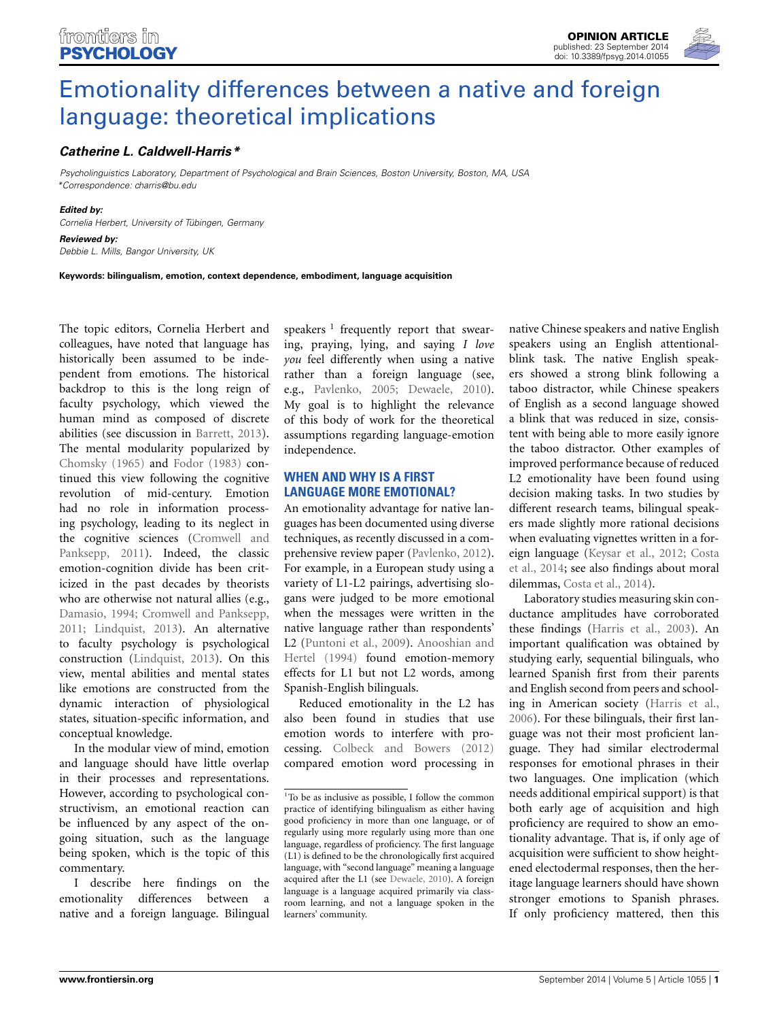

# [Emotionality differences between a native and foreign](http://www.frontiersin.org/journal/10.3389/fpsyg.2014.01055/full) language: theoretical implications

# *[Catherine L. Caldwell-Harris\\*](http://community.frontiersin.org/people/u/131534)*

*Psycholinguistics Laboratory, Department of Psychological and Brain Sciences, Boston University, Boston, MA, USA \*Correspondence: [charris@bu.edu](mailto:charris@bu.edu)*

#### *Edited by:*

*Cornelia Herbert, University of Tübingen, Germany*

#### *Reviewed by:*

*Debbie L. Mills, Bangor University, UK*

**Keywords: bilingualism, emotion, context dependence, embodiment, language acquisition**

The topic editors, Cornelia Herbert and colleagues, have noted that language has historically been assumed to be independent from emotions. The historical backdrop to this is the long reign of faculty psychology, which viewed the human mind as composed of discrete abilities (see discussion in [Barrett](#page-2-0), [2013](#page-2-0)). The mental modularity popularized by [Chomsky](#page-2-1) [\(1965](#page-2-1)) and [Fodor](#page-2-2) [\(1983](#page-2-2)) continued this view following the cognitive revolution of mid-century. Emotion had no role in information processing psychology, leading to its neglect in the cog[nitive sciences \(](#page-2-3)Cromwell and Panksepp, [2011](#page-2-3)). Indeed, the classic emotion-cognition divide has been criticized in the past decades by theorists who are otherwise not natural allies (e.g., [Damasio](#page-2-4), [1994](#page-2-4); [Cromwell and Panksepp,](#page-2-3) [2011](#page-2-3); [Lindquist, 2013\)](#page-2-5). An alternative to faculty psychology is psychological construction [\(Lindquist, 2013](#page-2-5)). On this view, mental abilities and mental states like emotions are constructed from the dynamic interaction of physiological states, situation-specific information, and conceptual knowledge.

In the modular view of mind, emotion and language should have little overlap in their processes and representations. However, according to psychological constructivism, an emotional reaction can be influenced by any aspect of the ongoing situation, such as the language being spoken, which is the topic of this commentary.

I describe here findings on the emotionality differences between a native and a foreign language. Bilingual speakers  $\frac{1}{1}$  frequently report that swearing, praying, lying, and saying *I love you* feel differently when using a native rather than a foreign language (see, e.g., [Pavlenko](#page-3-0), [2005](#page-3-0); [Dewaele, 2010](#page-2-6)). My goal is to highlight the relevance of this body of work for the theoretical assumptions regarding language-emotion independence.

## **WHEN AND WHY IS A FIRST LANGUAGE MORE EMOTIONAL?**

An emotionality advantage for native languages has been documented using diverse techniques, as recently discussed in a comprehensive review paper [\(Pavlenko](#page-3-1), [2012](#page-3-1)). For example, in a European study using a variety of L1-L2 pairings, advertising slogans were judged to be more emotional when the messages were written in the native language rather than respondents' L2 [\(Puntoni et al.](#page-3-2)[,](#page-2-7) [2009](#page-3-2)[\).](#page-2-7) Anooshian and Hertel [\(1994\)](#page-2-7) found emotion-memory effects for L1 but not L2 words, among Spanish-English bilinguals.

Reduced emotionality in the L2 has also been found in studies that use emotion words to interfere with processing. [Colbeck and Bowers](#page-2-8) [\(2012](#page-2-8)) compared emotion word processing in native Chinese speakers and native English speakers using an English attentionalblink task. The native English speakers showed a strong blink following a taboo distractor, while Chinese speakers of English as a second language showed a blink that was reduced in size, consistent with being able to more easily ignore the taboo distractor. Other examples of improved performance because of reduced L2 emotionality have been found using decision making tasks. In two studies by different research teams, bilingual speakers made slightly more rational decisions when evaluating vignettes written in a foreign [language](#page-2-10) [\(Keysar et al.](#page-2-9)[,](#page-2-10) [2012](#page-2-9)[;](#page-2-10) Costa et al., [2014](#page-2-10); see also findings about moral dilemmas, [Costa et al.](#page-2-10), [2014](#page-2-10)).

Laboratory studies measuring skin conductance amplitudes have corroborated these findings [\(Harris et al.](#page-2-11), [2003\)](#page-2-11). An important qualification was obtained by studying early, sequential bilinguals, who learned Spanish first from their parents and English second from peers and schooling in American society [\(Harris et al.,](#page-2-12) [2006](#page-2-12)). For these bilinguals, their first language was not their most proficient language. They had similar electrodermal responses for emotional phrases in their two languages. One implication (which needs additional empirical support) is that both early age of acquisition and high proficiency are required to show an emotionality advantage. That is, if only age of acquisition were sufficient to show heightened electodermal responses, then the heritage language learners should have shown stronger emotions to Spanish phrases. If only proficiency mattered, then this

<sup>&</sup>lt;sup>1</sup>To be as inclusive as possible, I follow the common practice of identifying bilingualism as either having good proficiency in more than one language, or of regularly using more regularly using more than one language, regardless of proficiency. The first language (L1) is defined to be the chronologically first acquired language, with "second language" meaning a language acquired after the L1 (see [Dewaele](#page-2-6), [2010\)](#page-2-6). A foreign language is a language acquired primarily via classroom learning, and not a language spoken in the learners' community.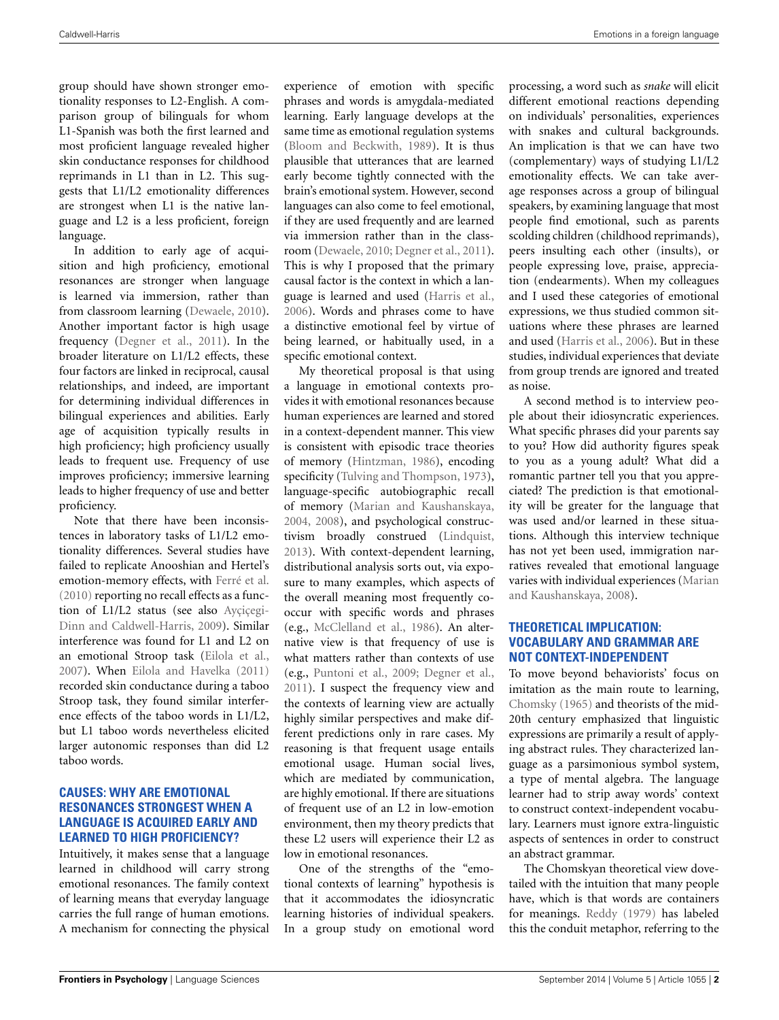group should have shown stronger emotionality responses to L2-English. A comparison group of bilinguals for whom L1-Spanish was both the first learned and most proficient language revealed higher skin conductance responses for childhood reprimands in L1 than in L2. This suggests that L1/L2 emotionality differences are strongest when L1 is the native language and L2 is a less proficient, foreign language.

In addition to early age of acquisition and high proficiency, emotional resonances are stronger when language is learned via immersion, rather than from classroom learning [\(Dewaele, 2010](#page-2-6)). Another important factor is high usage frequency [\(Degner et al., 2011\)](#page-2-13). In the broader literature on L1/L2 effects, these four factors are linked in reciprocal, causal relationships, and indeed, are important for determining individual differences in bilingual experiences and abilities. Early age of acquisition typically results in high proficiency; high proficiency usually leads to frequent use. Frequency of use improves proficiency; immersive learning leads to higher frequency of use and better proficiency.

Note that there have been inconsistences in laboratory tasks of L1/L2 emotionality differences. Several studies have failed to replicate Anooshian and Hertel's emotion-memory effects, with [Ferré et al.](#page-2-14) [\(2010\)](#page-2-14) reporting no recall effects as a function of L1/L2 status (se[e also](#page-2-15) Ayçiçegi-Dinn and Caldwell-Harris, [2009\)](#page-2-15). Similar interference was found for L1 and L2 on an emotional Stroop task [\(Eilola et al.,](#page-2-16) [2007](#page-2-16)). When [Eilola and Havelka](#page-2-17) [\(2011](#page-2-17)) recorded skin conductance during a taboo Stroop task, they found similar interference effects of the taboo words in L1/L2, but L1 taboo words nevertheless elicited larger autonomic responses than did L2 taboo words.

## **CAUSES: WHY ARE EMOTIONAL RESONANCES STRONGEST WHEN A LANGUAGE IS ACQUIRED EARLY AND LEARNED TO HIGH PROFICIENCY?**

Intuitively, it makes sense that a language learned in childhood will carry strong emotional resonances. The family context of learning means that everyday language carries the full range of human emotions. A mechanism for connecting the physical

experience of emotion with specific phrases and words is amygdala-mediated learning. Early language develops at the same time as emotional regulation systems [\(Bloom and Beckwith, 1989](#page-2-18)). It is thus plausible that utterances that are learned early become tightly connected with the brain's emotional system. However, second languages can also come to feel emotional, if they are used frequently and are learned via immersion rather than in the classroom [\(Dewaele](#page-2-6), [2010;](#page-2-6) [Degner et al., 2011\)](#page-2-13). This is why I proposed that the primary causal factor is the context in which a language is learned and used [\(Harris et al.](#page-2-12), [2006](#page-2-12)). Words and phrases come to have a distinctive emotional feel by virtue of being learned, or habitually used, in a specific emotional context.

My theoretical proposal is that using a language in emotional contexts provides it with emotional resonances because human experiences are learned and stored in a context-dependent manner. This view is consistent with episodic trace theories of memory [\(Hintzman](#page-2-19), [1986\)](#page-2-19), encoding specificity [\(Tulving and Thompson, 1973\)](#page-3-3), language-specific autobiographic recall of memory [\(Marian and Kaushanskaya](#page-2-20), [2004](#page-2-20), [2008](#page-2-21)), and psychological constructivism broadly construed [\(Lindquist](#page-2-5), [2013](#page-2-5)). With context-dependent learning, distributional analysis sorts out, via exposure to many examples, which aspects of the overall meaning most frequently cooccur with specific words and phrases (e.g., [McClelland et al., 1986\)](#page-3-4). An alternative view is that frequency of use is what matters rather than contexts of use (e.g., [Puntoni et al., 2009](#page-3-2); [Degner et al.](#page-2-13), [2011](#page-2-13)). I suspect the frequency view and the contexts of learning view are actually highly similar perspectives and make different predictions only in rare cases. My reasoning is that frequent usage entails emotional usage. Human social lives, which are mediated by communication, are highly emotional. If there are situations of frequent use of an L2 in low-emotion environment, then my theory predicts that these L2 users will experience their L2 as low in emotional resonances.

One of the strengths of the "emotional contexts of learning" hypothesis is that it accommodates the idiosyncratic learning histories of individual speakers. In a group study on emotional word

processing, a word such as *snake* will elicit different emotional reactions depending on individuals' personalities, experiences with snakes and cultural backgrounds. An implication is that we can have two (complementary) ways of studying L1/L2 emotionality effects. We can take average responses across a group of bilingual speakers, by examining language that most people find emotional, such as parents scolding children (childhood reprimands), peers insulting each other (insults), or people expressing love, praise, appreciation (endearments). When my colleagues and I used these categories of emotional expressions, we thus studied common situations where these phrases are learned and used [\(Harris et al., 2006\)](#page-2-12). But in these studies, individual experiences that deviate from group trends are ignored and treated as noise.

A second method is to interview people about their idiosyncratic experiences. What specific phrases did your parents say to you? How did authority figures speak to you as a young adult? What did a romantic partner tell you that you appreciated? The prediction is that emotionality will be greater for the language that was used and/or learned in these situations. Although this interview technique has not yet been used, immigration narratives revealed that emotional language varies with indivi[dual experiences \(](#page-2-21)Marian and Kaushanskaya, [2008\)](#page-2-21).

### **THEORETICAL IMPLICATION: VOCABULARY AND GRAMMAR ARE NOT CONTEXT-INDEPENDENT**

To move beyond behaviorists' focus on imitation as the main route to learning, [Chomsky](#page-2-1) [\(1965](#page-2-1)) and theorists of the mid-20th century emphasized that linguistic expressions are primarily a result of applying abstract rules. They characterized language as a parsimonious symbol system, a type of mental algebra. The language learner had to strip away words' context to construct context-independent vocabulary. Learners must ignore extra-linguistic aspects of sentences in order to construct an abstract grammar.

The Chomskyan theoretical view dovetailed with the intuition that many people have, which is that words are containers for meanings. [Reddy](#page-3-5) [\(1979\)](#page-3-5) has labeled this the conduit metaphor, referring to the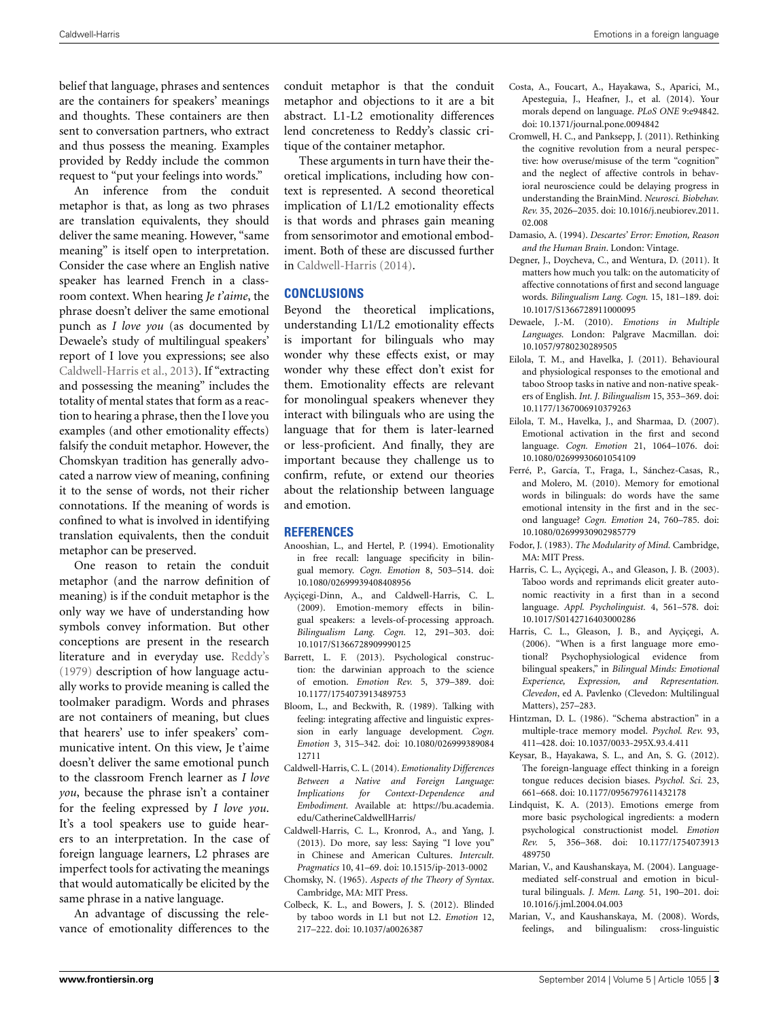belief that language, phrases and sentences are the containers for speakers' meanings and thoughts. These containers are then sent to conversation partners, who extract and thus possess the meaning. Examples provided by Reddy include the common request to "put your feelings into words."

An inference from the conduit metaphor is that, as long as two phrases are translation equivalents, they should deliver the same meaning. However, "same meaning" is itself open to interpretation. Consider the case where an English native speaker has learned French in a classroom context. When hearing *Je t'aime*, the phrase doesn't deliver the same emotional punch as *I love you* (as documented by Dewaele's study of multilingual speakers' report of I love you expressions; see also [Caldwell-Harris et al., 2013](#page-2-22)). If "extracting and possessing the meaning" includes the totality of mental states that form as a reaction to hearing a phrase, then the I love you examples (and other emotionality effects) falsify the conduit metaphor. However, the Chomskyan tradition has generally advocated a narrow view of meaning, confining it to the sense of words, not their richer connotations. If the meaning of words is confined to what is involved in identifying translation equivalents, then the conduit metaphor can be preserved.

One reason to retain the conduit metaphor (and the narrow definition of meaning) is if the conduit metaphor is the only way we have of understanding how symbols convey information. But other conceptions are present in the research literature and in everyday use. [Reddy's](#page-3-5) [\(1979\)](#page-3-5) description of how language actually works to provide meaning is called the toolmaker paradigm. Words and phrases are not containers of meaning, but clues that hearers' use to infer speakers' communicative intent. On this view, Je t'aime doesn't deliver the same emotional punch to the classroom French learner as *I love you*, because the phrase isn't a container for the feeling expressed by *I love you*. It's a tool speakers use to guide hearers to an interpretation. In the case of foreign language learners, L2 phrases are imperfect tools for activating the meanings that would automatically be elicited by the same phrase in a native language.

An advantage of discussing the relevance of emotionality differences to the conduit metaphor is that the conduit metaphor and objections to it are a bit abstract. L1-L2 emotionality differences lend concreteness to Reddy's classic critique of the container metaphor.

These arguments in turn have their theoretical implications, including how context is represented. A second theoretical implication of L1/L2 emotionality effects is that words and phrases gain meaning from sensorimotor and emotional embodiment. Both of these are discussed further in [Caldwell-Harris](#page-2-23) [\(2014\)](#page-2-23).

## **CONCLUSIONS**

Beyond the theoretical implications, understanding L1/L2 emotionality effects is important for bilinguals who may wonder why these effects exist, or may wonder why these effect don't exist for them. Emotionality effects are relevant for monolingual speakers whenever they interact with bilinguals who are using the language that for them is later-learned or less-proficient. And finally, they are important because they challenge us to confirm, refute, or extend our theories about the relationship between language and emotion.

#### **REFERENCES**

- <span id="page-2-7"></span>Anooshian, L., and Hertel, P. (1994). Emotionality in free recall: language specificity in bilingual memory. *Cogn. Emotion* 8, 503–514. doi: 10.1080/02699939408408956
- <span id="page-2-15"></span>Ayçiçegi-Dinn, A., and Caldwell-Harris, C. L. (2009). Emotion-memory effects in bilingual speakers: a levels-of-processing approach. *Bilingualism Lang. Cogn.* 12, 291–303. doi: 10.1017/S1366728909990125
- <span id="page-2-0"></span>Barrett, L. F. (2013). Psychological construction: the darwinian approach to the science of emotion. *Emotion Rev.* 5, 379–389. doi: 10.1177/1754073913489753
- <span id="page-2-18"></span>Bloom, L., and Beckwith, R. (1989). Talking with feeling: integrating affective and linguistic expression in early language development*. Cogn. Emotion* 3, 315–342. doi: 10.1080/026999389084 12711
- <span id="page-2-23"></span>Caldwell-Harris, C. L. (2014). *Emotionality Differences Between a Native and Foreign Language: Implications for Context-Dependence and Embodiment.* Available at: [https://bu](https://bu.academia.edu/CatherineCaldwellHarris/)*.*academia*.* [edu/CatherineCaldwellHarris/](https://bu.academia.edu/CatherineCaldwellHarris/)
- <span id="page-2-22"></span>Caldwell-Harris, C. L., Kronrod, A., and Yang, J. (2013). Do more, say less: Saying "I love you" in Chinese and American Cultures. *Intercult. Pragmatics* 10, 41–69. doi: 10.1515/ip-2013-0002
- <span id="page-2-1"></span>Chomsky, N. (1965). *Aspects of the Theory of Syntax*. Cambridge, MA: MIT Press.
- <span id="page-2-8"></span>Colbeck, K. L., and Bowers, J. S. (2012). Blinded by taboo words in L1 but not L2. *Emotion* 12, 217–222. doi: 10.1037/a0026387
- <span id="page-2-10"></span>Costa, A., Foucart, A., Hayakawa, S., Aparici, M., Apesteguia, J., Heafner, J., et al. (2014). Your morals depend on language. *PLoS ONE* 9:e94842. doi: 10.1371/journal.pone.0094842
- <span id="page-2-3"></span>Cromwell, H. C., and Panksepp, J. (2011). Rethinking the cognitive revolution from a neural perspective: how overuse/misuse of the term "cognition" and the neglect of affective controls in behavioral neuroscience could be delaying progress in understanding the BrainMind. *Neurosci. Biobehav. Rev.* 35, 2026–2035. doi: 10.1016/j.neubiorev.2011. 02.008
- <span id="page-2-4"></span>Damasio, A. (1994). *Descartes' Error: Emotion, Reason and the Human Brain*. London: Vintage.
- <span id="page-2-13"></span>Degner, J., Doycheva, C., and Wentura, D. (2011). It matters how much you talk: on the automaticity of affective connotations of first and second language words. *Bilingualism Lang. Cogn.* 15, 181–189. doi: 10.1017/S1366728911000095
- <span id="page-2-6"></span>Dewaele, J.-M. (2010). *Emotions in Multiple Languages.* London: Palgrave Macmillan. doi: 10.1057/9780230289505
- <span id="page-2-17"></span>Eilola, T. M., and Havelka, J. (2011). Behavioural and physiological responses to the emotional and taboo Stroop tasks in native and non-native speakers of English. *Int. J. Bilingualism* 15, 353–369. doi: 10.1177/1367006910379263
- <span id="page-2-16"></span>Eilola, T. M., Havelka, J., and Sharmaa, D. (2007). Emotional activation in the first and second language. *Cogn. Emotion* 21, 1064–1076. doi: 10.1080/02699930601054109
- <span id="page-2-14"></span>Ferré, P., García, T., Fraga, I., Sánchez-Casas, R., and Molero, M. (2010). Memory for emotional words in bilinguals: do words have the same emotional intensity in the first and in the second language? *Cogn. Emotion* 24, 760–785. doi: 10.1080/02699930902985779
- <span id="page-2-2"></span>Fodor, J. (1983). *The Modularity of Mind.* Cambridge, MA: MIT Press.
- <span id="page-2-11"></span>Harris, C. L., Ayçiçegi, A., and Gleason, J. B. (2003). Taboo words and reprimands elicit greater autonomic reactivity in a first than in a second language. *Appl. Psycholinguist.* 4, 561–578. doi: 10.1017/S0142716403000286
- <span id="page-2-12"></span>Harris, C. L., Gleason, J. B., and Ayçiçegi, A. (2006). "When is a first language more emotional? Psychophysiological evidence from bilingual speakers," in *Bilingual Minds: Emotional Experience, Expression, and Representation. Clevedon*, ed A. Pavlenko (Clevedon: Multilingual Matters), 257–283.
- <span id="page-2-19"></span>Hintzman, D. L. (1986). "Schema abstraction" in a multiple-trace memory model. *Psychol. Rev.* 93, 411–428. doi: 10.1037/0033-295X.93.4.411
- <span id="page-2-9"></span>Keysar, B., Hayakawa, S. L., and An, S. G. (2012). The foreign-language effect thinking in a foreign tongue reduces decision biases. *Psychol. Sci.* 23, 661–668. doi: 10.1177/0956797611432178
- <span id="page-2-5"></span>Lindquist, K. A. (2013). Emotions emerge from more basic psychological ingredients: a modern psychological constructionist model. *Emotion Rev.* 5, 356–368. doi: 10.1177/1754073913 489750
- <span id="page-2-20"></span>Marian, V., and Kaushanskaya, M. (2004). Languagemediated self-construal and emotion in bicultural bilinguals. *J. Mem. Lang.* 51, 190–201. doi: 10.1016/j.jml.2004.04.003
- <span id="page-2-21"></span>Marian, V., and Kaushanskaya, M. (2008). Words, feelings, and bilingualism: cross-linguistic